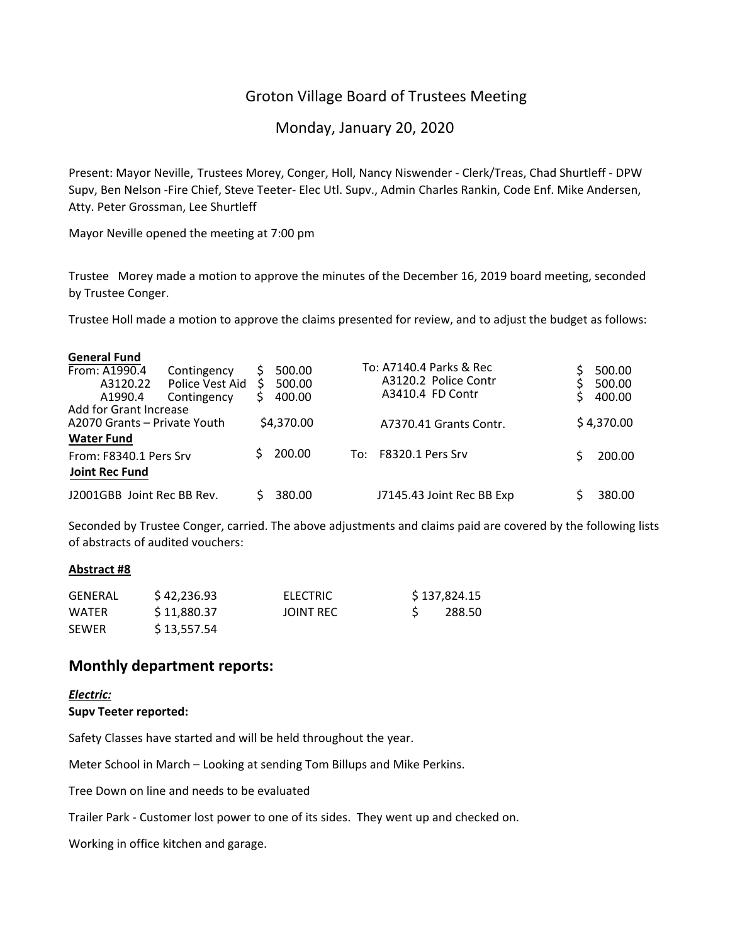## Groton Village Board of Trustees Meeting

Monday, January 20, 2020

Present: Mayor Neville, Trustees Morey, Conger, Holl, Nancy Niswender ‐ Clerk/Treas, Chad Shurtleff ‐ DPW Supv, Ben Nelson ‐Fire Chief, Steve Teeter‐ Elec Utl. Supv., Admin Charles Rankin, Code Enf. Mike Andersen, Atty. Peter Grossman, Lee Shurtleff

Mayor Neville opened the meeting at 7:00 pm

Trustee Morey made a motion to approve the minutes of the December 16, 2019 board meeting, seconded by Trustee Conger.

Trustee Holl made a motion to approve the claims presented for review, and to adjust the budget as follows:

| <b>General Fund</b>                  |                                               |                            |     |                                                                     |  |                            |
|--------------------------------------|-----------------------------------------------|----------------------------|-----|---------------------------------------------------------------------|--|----------------------------|
| From: A1990.4<br>A3120.22<br>A1990.4 | Contingency<br>Police Vest Aid<br>Contingency | 500.00<br>500.00<br>400.00 |     | To: A7140.4 Parks & Rec<br>A3120.2 Police Contr<br>A3410.4 FD Contr |  | 500.00<br>500.00<br>400.00 |
| <b>Add for Grant Increase</b>        |                                               |                            |     |                                                                     |  |                            |
| A2070 Grants - Private Youth         |                                               | \$4,370.00                 |     | A7370.41 Grants Contr.                                              |  | \$4,370.00                 |
| <b>Water Fund</b>                    |                                               |                            |     |                                                                     |  |                            |
| From: F8340.1 Pers Srv               |                                               | 200.00                     | To: | <b>F8320.1 Pers Srv</b>                                             |  | 200.00                     |
| <b>Joint Rec Fund</b>                |                                               |                            |     |                                                                     |  |                            |
| J2001GBB Joint Rec BB Rev.           |                                               | 380.00                     |     | J7145.43 Joint Rec BB Exp                                           |  | 380.00                     |

Seconded by Trustee Conger, carried. The above adjustments and claims paid are covered by the following lists of abstracts of audited vouchers:

#### **Abstract #8**

| GENERAL      | \$42,236.93 | ELECTRIC  | \$137,824.15 |
|--------------|-------------|-----------|--------------|
| WATER        | \$11,880.37 | JOINT REC | 288.50       |
| <b>SEWER</b> | \$13,557.54 |           |              |

#### **Monthly department reports:**

#### *Electric:* **Supv Teeter reported:**

Safety Classes have started and will be held throughout the year.

Meter School in March – Looking at sending Tom Billups and Mike Perkins.

Tree Down on line and needs to be evaluated

Trailer Park ‐ Customer lost power to one of its sides. They went up and checked on.

Working in office kitchen and garage.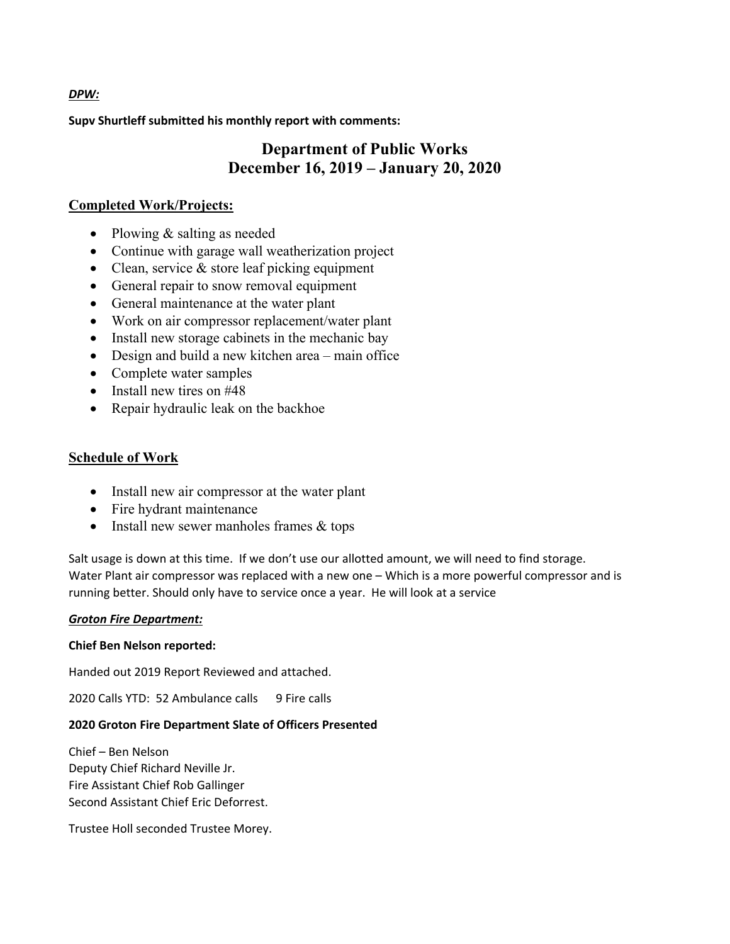**Supv Shurtleff submitted his monthly report with comments:**

## **Department of Public Works December 16, 2019 – January 20, 2020**

## **Completed Work/Projects:**

- Plowing & salting as needed
- Continue with garage wall weatherization project
- Clean, service & store leaf picking equipment
- General repair to snow removal equipment
- General maintenance at the water plant
- Work on air compressor replacement/water plant
- Install new storage cabinets in the mechanic bay
- Design and build a new kitchen area main office
- Complete water samples
- $\bullet$  Install new tires on #48
- Repair hydraulic leak on the backhoe

## **Schedule of Work**

- Install new air compressor at the water plant
- Fire hydrant maintenance
- Install new sewer manholes frames & tops

Salt usage is down at this time. If we don't use our allotted amount, we will need to find storage. Water Plant air compressor was replaced with a new one – Which is a more powerful compressor and is running better. Should only have to service once a year. He will look at a service

## *Groton Fire Department:*

## **Chief Ben Nelson reported:**

Handed out 2019 Report Reviewed and attached.

2020 Calls YTD: 52 Ambulance calls 9 Fire calls

## **2020 Groton Fire Department Slate of Officers Presented**

Chief – Ben Nelson Deputy Chief Richard Neville Jr. Fire Assistant Chief Rob Gallinger Second Assistant Chief Eric Deforrest.

Trustee Holl seconded Trustee Morey.

#### *DPW:*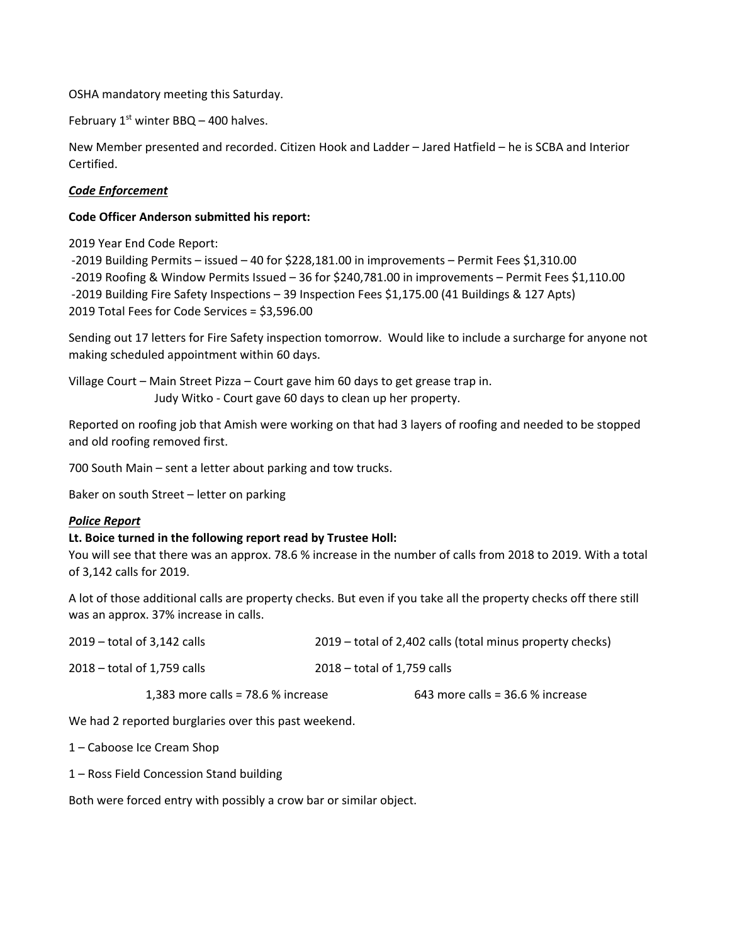OSHA mandatory meeting this Saturday.

February  $1<sup>st</sup>$  winter BBQ – 400 halves.

New Member presented and recorded. Citizen Hook and Ladder – Jared Hatfield – he is SCBA and Interior Certified.

#### *Code Enforcement*

#### **Code Officer Anderson submitted his report:**

2019 Year End Code Report:

 ‐2019 Building Permits – issued – 40 for \$228,181.00 in improvements – Permit Fees \$1,310.00 ‐2019 Roofing & Window Permits Issued – 36 for \$240,781.00 in improvements – Permit Fees \$1,110.00 ‐2019 Building Fire Safety Inspections – 39 Inspection Fees \$1,175.00 (41 Buildings & 127 Apts) 2019 Total Fees for Code Services = \$3,596.00

Sending out 17 letters for Fire Safety inspection tomorrow. Would like to include a surcharge for anyone not making scheduled appointment within 60 days.

Village Court – Main Street Pizza – Court gave him 60 days to get grease trap in. Judy Witko ‐ Court gave 60 days to clean up her property.

Reported on roofing job that Amish were working on that had 3 layers of roofing and needed to be stopped and old roofing removed first.

700 South Main – sent a letter about parking and tow trucks.

Baker on south Street – letter on parking

#### *Police Report*

#### **Lt. Boice turned in the following report read by Trustee Holl:**

You will see that there was an approx. 78.6 % increase in the number of calls from 2018 to 2019. With a total of 3,142 calls for 2019.

A lot of those additional calls are property checks. But even if you take all the property checks off there still was an approx. 37% increase in calls.

| $2019$ – total of 3,142 calls       | 2019 – total of 2,402 calls (total minus property checks) |
|-------------------------------------|-----------------------------------------------------------|
| $2018 -$ total of 1,759 calls       | $2018 -$ total of 1.759 calls                             |
| 1,383 more calls = $78.6%$ increase | 643 more calls = $36.6%$ increase                         |

We had 2 reported burglaries over this past weekend.

1 – Caboose Ice Cream Shop

1 – Ross Field Concession Stand building

Both were forced entry with possibly a crow bar or similar object.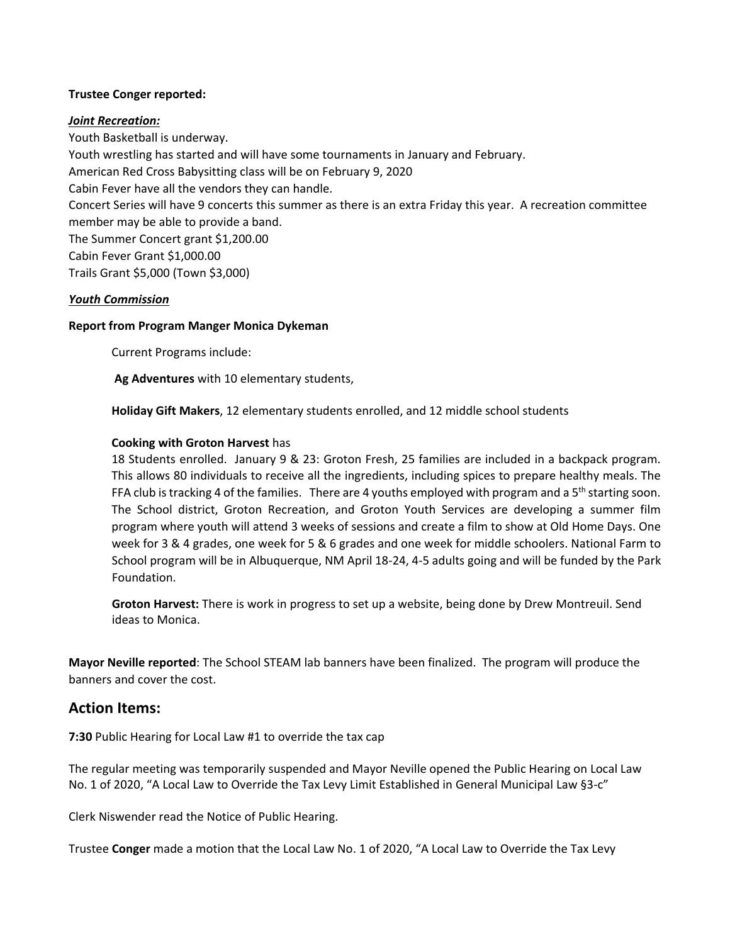#### **Trustee Conger reported:**

#### *Joint Recreation:*

Youth Basketball is underway. Youth wrestling has started and will have some tournaments in January and February. American Red Cross Babysitting class will be on February 9, 2020 Cabin Fever have all the vendors they can handle. Concert Series will have 9 concerts this summer as there is an extra Friday this year. A recreation committee member may be able to provide a band. The Summer Concert grant \$1,200.00 Cabin Fever Grant \$1,000.00 Trails Grant \$5,000 (Town \$3,000)

#### *Youth Commission*

#### **Report from Program Manger Monica Dykeman**

Current Programs include:

**Ag Adventures** with 10 elementary students,

**Holiday Gift Makers**, 12 elementary students enrolled, and 12 middle school students

#### **Cooking with Groton Harvest** has

18 Students enrolled. January 9 & 23: Groton Fresh, 25 families are included in a backpack program. This allows 80 individuals to receive all the ingredients, including spices to prepare healthy meals. The FFA club is tracking 4 of the families. There are 4 youths employed with program and a  $5<sup>th</sup>$  starting soon. The School district, Groton Recreation, and Groton Youth Services are developing a summer film program where youth will attend 3 weeks of sessions and create a film to show at Old Home Days. One week for 3 & 4 grades, one week for 5 & 6 grades and one week for middle schoolers. National Farm to School program will be in Albuquerque, NM April 18‐24, 4‐5 adults going and will be funded by the Park Foundation.

**Groton Harvest:** There is work in progress to set up a website, being done by Drew Montreuil. Send ideas to Monica.

**Mayor Neville reported**: The School STEAM lab banners have been finalized. The program will produce the banners and cover the cost.

#### **Action Items:**

**7:30** Public Hearing for Local Law #1 to override the tax cap

The regular meeting was temporarily suspended and Mayor Neville opened the Public Hearing on Local Law No. 1 of 2020, "A Local Law to Override the Tax Levy Limit Established in General Municipal Law §3‐c"

Clerk Niswender read the Notice of Public Hearing.

Trustee **Conger** made a motion that the Local Law No. 1 of 2020, "A Local Law to Override the Tax Levy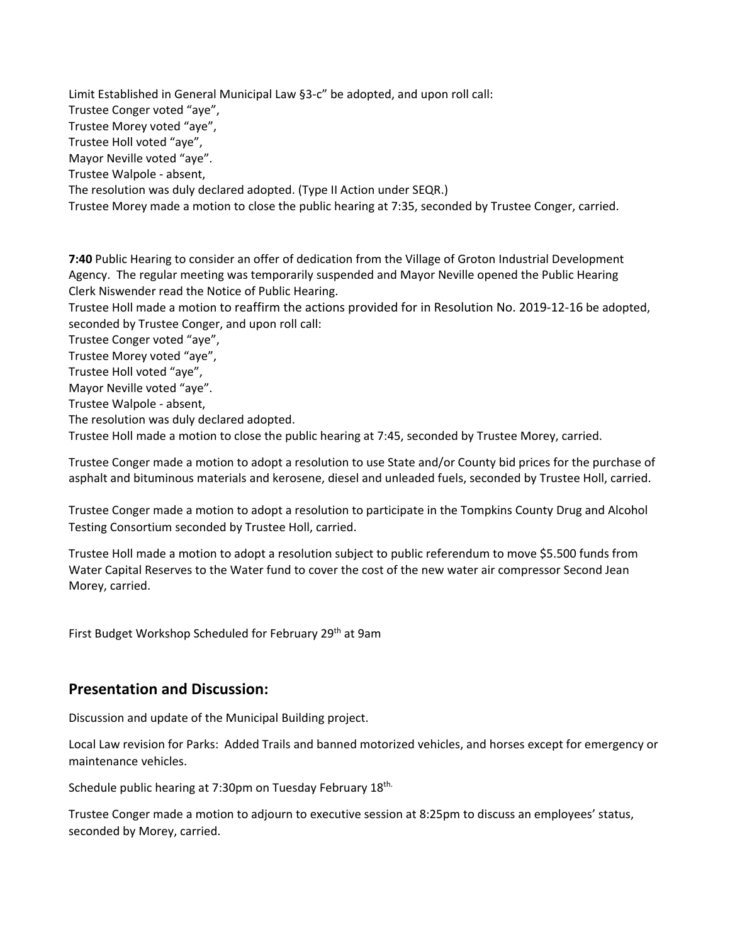Limit Established in General Municipal Law §3‐c" be adopted, and upon roll call: Trustee Conger voted "aye", Trustee Morey voted "aye", Trustee Holl voted "aye", Mayor Neville voted "aye". Trustee Walpole ‐ absent, The resolution was duly declared adopted. (Type II Action under SEQR.) Trustee Morey made a motion to close the public hearing at 7:35, seconded by Trustee Conger, carried.

**7:40** Public Hearing to consider an offer of dedication from the Village of Groton Industrial Development Agency. The regular meeting was temporarily suspended and Mayor Neville opened the Public Hearing Clerk Niswender read the Notice of Public Hearing.

Trustee Holl made a motion to reaffirm the actions provided for in Resolution No. 2019‐12‐16 be adopted, seconded by Trustee Conger, and upon roll call:

Trustee Conger voted "aye",

Trustee Morey voted "aye",

Trustee Holl voted "aye",

Mayor Neville voted "aye".

Trustee Walpole ‐ absent,

The resolution was duly declared adopted.

Trustee Holl made a motion to close the public hearing at 7:45, seconded by Trustee Morey, carried.

Trustee Conger made a motion to adopt a resolution to use State and/or County bid prices for the purchase of asphalt and bituminous materials and kerosene, diesel and unleaded fuels, seconded by Trustee Holl, carried.

Trustee Conger made a motion to adopt a resolution to participate in the Tompkins County Drug and Alcohol Testing Consortium seconded by Trustee Holl, carried.

Trustee Holl made a motion to adopt a resolution subject to public referendum to move \$5.500 funds from Water Capital Reserves to the Water fund to cover the cost of the new water air compressor Second Jean Morey, carried.

First Budget Workshop Scheduled for February 29<sup>th</sup> at 9am

### **Presentation and Discussion:**

Discussion and update of the Municipal Building project.

Local Law revision for Parks: Added Trails and banned motorized vehicles, and horses except for emergency or maintenance vehicles.

Schedule public hearing at 7:30pm on Tuesday February 18<sup>th.</sup>

Trustee Conger made a motion to adjourn to executive session at 8:25pm to discuss an employees' status, seconded by Morey, carried.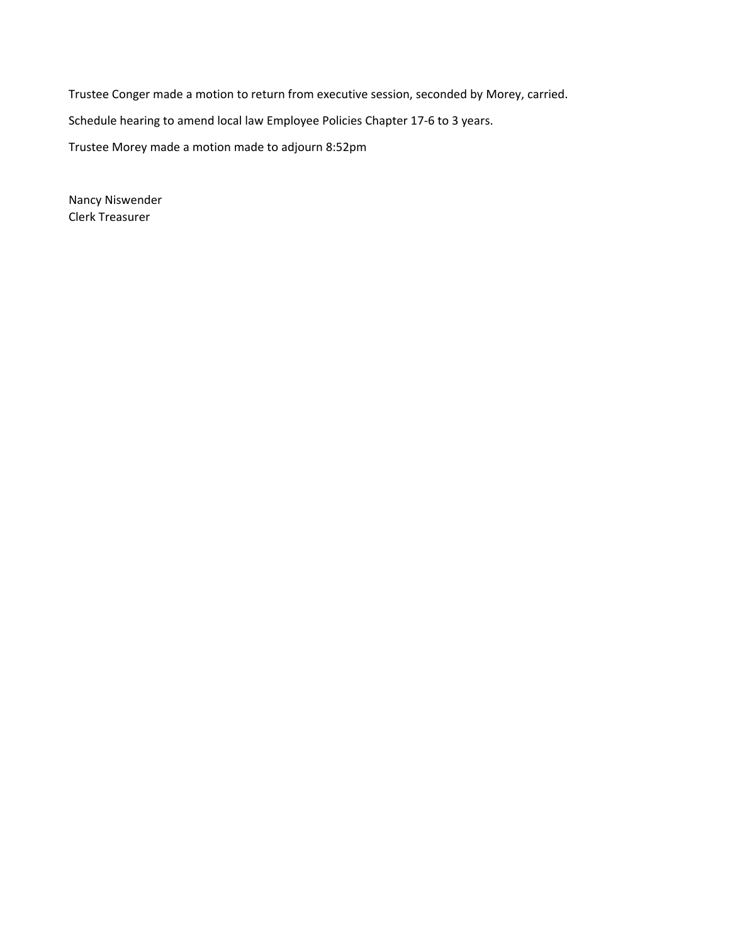Trustee Conger made a motion to return from executive session, seconded by Morey, carried. Schedule hearing to amend local law Employee Policies Chapter 17‐6 to 3 years. Trustee Morey made a motion made to adjourn 8:52pm

Nancy Niswender Clerk Treasurer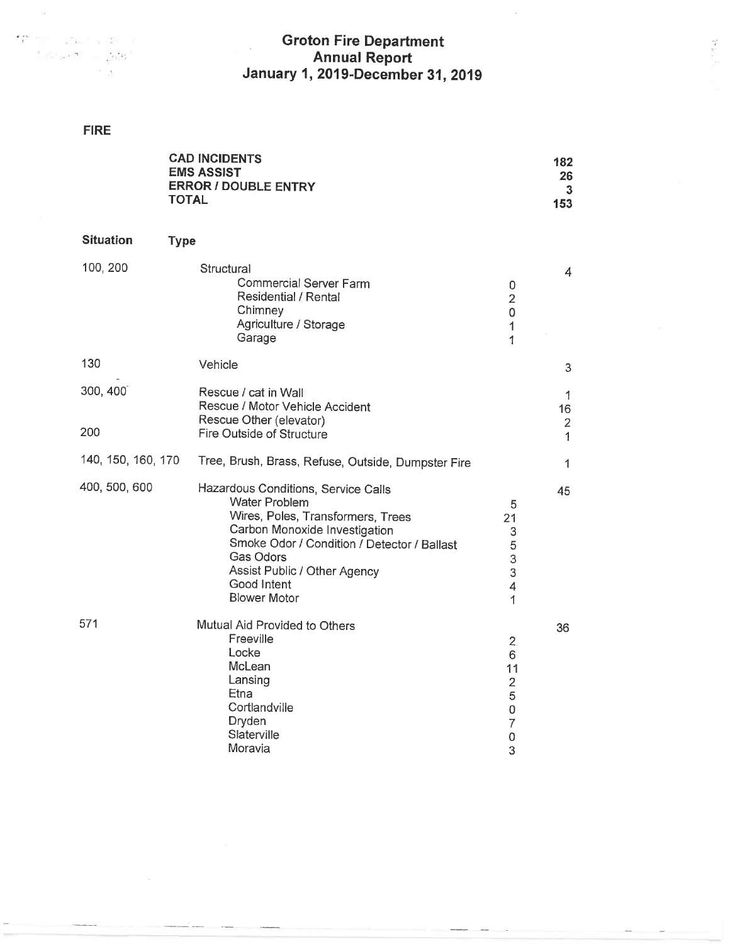# Groton Fire Department<br>Annual Report<br>January 1, 2019-December 31, 2019

 $\frac{1}{2}$  ,  $\frac{1}{2}$  ,  $\frac{1}{2}$ 

### **FIRE**

 $\label{eq:4} \mathbf{f}^{\text{a}}_{\text{c}}\left(\text{e}^{\text{a}}-\text{i}\text{e}^{\text{a}}\right)=\mathbf{f}^{\text{a}}_{\text{c}}\left(\text{i}+\text{i}\text{e}^{\text{i}\text{e}^{\text{i}\text{e}}\right)=\mathbf{f}^{\text{a}}_{\text{c}}\left(\text{i}+\text{i}\text{e}^{\text{i}\text{e}^{\text{i}\text{e}}\right)$ 

 $\begin{split} \mathcal{E}[\mathbb{R}^n \mathbb{R}^n]^{\mathcal{H}} &= \mathbb{R}^n \mathbb{R}^n \end{split}$ 

 $\omega$ 

|                    | <b>CAD INCIDENTS</b><br><b>EMS ASSIST</b><br><b>ERROR / DOUBLE ENTRY</b><br>TOTAL                                                                                                                                                                                   |                                                                                   | 182<br>26<br>3<br>153                     |
|--------------------|---------------------------------------------------------------------------------------------------------------------------------------------------------------------------------------------------------------------------------------------------------------------|-----------------------------------------------------------------------------------|-------------------------------------------|
| <b>Situation</b>   | <b>Type</b>                                                                                                                                                                                                                                                         |                                                                                   |                                           |
| 100, 200           | Structural<br><b>Commercial Server Farm</b><br>Residential / Rental<br>Chimney<br>Agriculture / Storage<br>Garage                                                                                                                                                   | 0<br>$\overline{2}$<br>$\mathsf 0$<br>1<br>1                                      | 4                                         |
| 130                | Vehicle                                                                                                                                                                                                                                                             |                                                                                   | 3                                         |
| 300, 400<br>200    | Rescue / cat in Wall<br>Rescue / Motor Vehicle Accident<br>Rescue Other (elevator)<br>Fire Outside of Structure                                                                                                                                                     |                                                                                   | 1<br>16<br>$\overline{c}$<br>$\mathbf{1}$ |
| 140, 150, 160, 170 | Tree, Brush, Brass, Refuse, Outside, Dumpster Fire                                                                                                                                                                                                                  |                                                                                   | 1                                         |
| 400, 500, 600      | Hazardous Conditions, Service Calls<br><b>Water Problem</b><br>Wires, Poles, Transformers, Trees<br>Carbon Monoxide Investigation<br>Smoke Odor / Condition / Detector / Ballast<br>Gas Odors<br>Assist Public / Other Agency<br>Good Intent<br><b>Blower Motor</b> | 5<br>21<br>3<br>5<br>3<br>3<br>4<br>1                                             | 45                                        |
| 571                | Mutual Aid Provided to Others<br>Freeville<br>Locke<br>McLean<br>Lansing<br>Etna<br>Cortlandville<br>Dryden<br>Slaterville<br>Moravia                                                                                                                               | 2 <sub>1</sub><br>6<br>11<br>$\overline{2}$<br>5<br>0<br>$\overline{7}$<br>0<br>3 | 36                                        |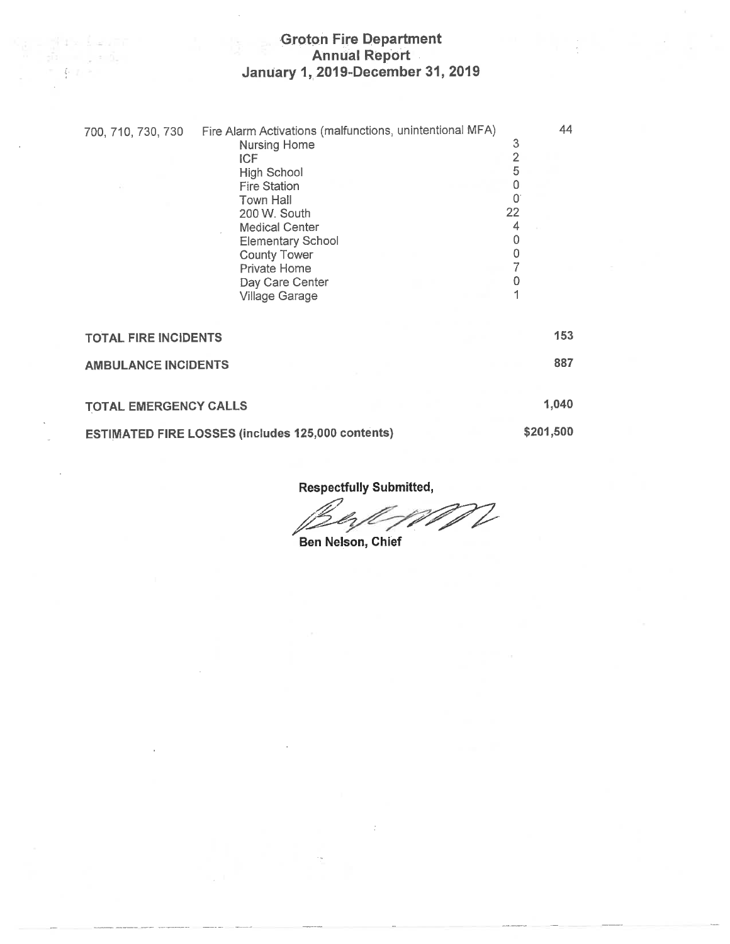## Groton Fire Department<br>Annual Report<br>January 1, 2019-December 31, 2019

. ji ra bezin  $\frac{\partial}{\partial \Omega} \quad = \quad \frac{\partial}{\partial \Omega} \quad = \quad \frac{\partial}{\partial \Omega} \quad .$  $\label{eq:3.1} \mathcal{P} = \bigoplus_{i=1}^n \mathcal{P}_i \otimes \mathcal{P}_i$ 

| 700, 710, 730, 730           | Fire Alarm Activations (malfunctions, unintentional MFA)<br>Nursing Home<br><b>ICF</b><br><b>High School</b><br><b>Fire Station</b><br>Town Hall<br>200 W. South<br><b>Medical Center</b><br><b>Elementary School</b><br><b>County Tower</b><br>Private Home<br>Day Care Center<br>Village Garage | 3<br>$\overline{2}$<br>5<br>0<br>0<br>22<br>4<br>0<br>0<br>7<br>0 | 44        |
|------------------------------|---------------------------------------------------------------------------------------------------------------------------------------------------------------------------------------------------------------------------------------------------------------------------------------------------|-------------------------------------------------------------------|-----------|
| <b>TOTAL FIRE INCIDENTS</b>  |                                                                                                                                                                                                                                                                                                   |                                                                   | 153       |
| <b>AMBULANCE INCIDENTS</b>   |                                                                                                                                                                                                                                                                                                   |                                                                   | 887       |
| <b>TOTAL EMERGENCY CALLS</b> |                                                                                                                                                                                                                                                                                                   |                                                                   | 1,040     |
|                              | <b>ESTIMATED FIRE LOSSES (includes 125,000 contents)</b>                                                                                                                                                                                                                                          |                                                                   | \$201,500 |

**Respectfully Submitted,** 

V

Ben Nelson, Chief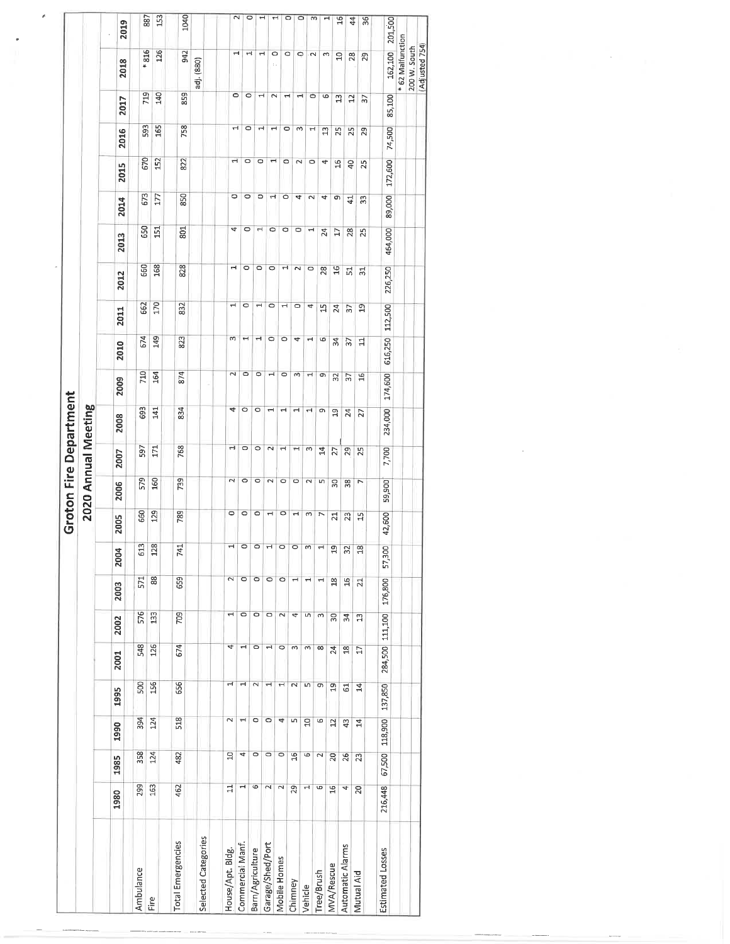|                   |                 |                 |                          |                          |                       |                          |                |                       |         |                     | <b>Groton Fire Department</b> |                          |               |                                     |               |                 |                |                          |                                |                          |                       |                |
|-------------------|-----------------|-----------------|--------------------------|--------------------------|-----------------------|--------------------------|----------------|-----------------------|---------|---------------------|-------------------------------|--------------------------|---------------|-------------------------------------|---------------|-----------------|----------------|--------------------------|--------------------------------|--------------------------|-----------------------|----------------|
|                   |                 |                 |                          |                          |                       |                          |                |                       |         | 2020 Annual Meeting |                               |                          |               |                                     |               |                 |                |                          |                                |                          |                       |                |
| 1980              | 1985            | 1990            | 1995                     | 2001                     | 2002                  | 2003                     | 2004           | 2005                  | 2006    | 2007                | 2008                          | 2009                     | 2010          | 2011                                | 2012          | 2013            | 2014           | <b>2015</b>              | 2016                           | 2017                     | 2018                  | 2019           |
| 299               | 358             | 394             | 500                      | 548                      | 576                   | 571                      | 613            | 660                   | 579     | 597                 | 693                           | 710                      | 674           | 662                                 | 660           | 650             | 673            | 670                      | 593                            | 719                      |                       |                |
| 163               | 124             | 124             | 156                      | 126                      | 133                   | 88                       | 128            | 129                   | 160     | 171                 | 141                           | 164                      | 149           | 170                                 | 168           | 151             | 177            | 152                      | 165                            | 140                      | * 816<br>126          | 887<br>153     |
| 462               | 482             | 518             | 656                      | 674                      | 709                   | 659                      | 741            | 789                   | 739     | 768                 | 834                           | 874                      | 823           | 832                                 | 828           | 801             | 850            | 822                      | 758                            | 859                      | 942                   | 1040           |
|                   |                 |                 |                          |                          |                       |                          |                |                       |         |                     |                               |                          |               |                                     |               |                 |                |                          |                                |                          | adj. (880)            |                |
| $\Xi$             | ă               | $\sim$          | щ                        | 4                        | $\mathbf{\mathbf{r}}$ | 2                        | 1              | $\circ$               | $\sim$  | Н                   |                               | $\sim$                   |               |                                     |               |                 |                |                          |                                |                          |                       |                |
|                   | 4               | $\rightarrow$   | $\mathbf{r}$             |                          | 0                     | $\circ$                  | $\circ$        | $\circ$               | $\circ$ | $\circ$             | 4<br>$\circ$                  | $\circ$                  | m<br>٣        | $\overline{\phantom{0}}$<br>$\circ$ | ы<br>0        | 4<br>$\circ$    | $\circ$        | H                        | Ч                              | $\circ$                  | $\mathbf{\mathbf{r}}$ | $\sim$         |
| 6                 | O               | $\circ$         | $\sim$                   | $\circ$                  | $\circ$               | $\circ$                  | ٥              | $\circ$               | $\circ$ | $\circ$             | $\circ$                       | $\circ$                  | н             | $\blacksquare$                      | $\circ$       | $\mathbf{r}$    | 0<br>$\circ$   | O<br>$\circ$             | $\circ$                        | $\circ$                  | Н                     | $\circ$        |
| $\sim$            | $\circ$         | 0               | $\overline{\phantom{0}}$ | $\overline{\phantom{0}}$ | $\circ$               | $\circ$                  | Н              | $\mathbf{\mathbf{H}}$ | $\sim$  | $\sim$              | ᆋ                             | $\overline{\phantom{0}}$ | 0             | $\circ$                             | $\circ$       | $\circ$         | 4              | $\overline{\phantom{0}}$ | $\blacksquare$<br>$\mathbf{H}$ | $\overline{ }$<br>$\sim$ | $\mathbf{\mathbf{r}}$ |                |
| $\mathbf{\Omega}$ | $\circ$         | 4               | $\overline{ }$           | $\circ$                  | $\sim$                | $\circ$                  | $\circ$        | $\circ$               | $\circ$ | 1                   | ᅱ                             | $\circ$                  | $\circ$       | $\overline{ }$                      | Н             | O               | $\circ$        | $\circ$                  | $\circ$                        | $\overline{\phantom{0}}$ | O<br>$\circ$<br>÷.    | ᆏ              |
| 29                | $\frac{16}{16}$ | m               | $\sim$                   | m                        | 4                     | $\overline{\phantom{0}}$ | $\circ$        | $\rightarrow$         | $\circ$ | $\blacksquare$      | ⊣                             | S                        | 4             | $\circ$                             | $\sim$        | $\circ$         | 4              | $\sim$                   | $\omega$                       | $\mathbf -$              | $\circ$               | ۰<br>$\circ$   |
| ᆏ                 | Ь               | $\overline{a}$  | Lŋ,                      | m                        | LŊ,                   | $\blacksquare$           | $\omega$       | S                     | $\sim$  | $\infty$            | Ч                             | $\mathbf{r}$             | ᅴ             | 4                                   | $\circ$       | H               | $\sim$         | 0                        | $\mathbf{H}$                   | $\circ$                  | $\mathbf{\sim}$       | m              |
| G                 | $\sim$          | G               | G                        | $\infty$                 | S                     | H                        | $\overline{ }$ | Z                     | LŊ      | $\overline{4}$      | o                             | e                        | G             | $\frac{1}{2}$                       | 28            | 24              | 4              | 4                        | $\mathfrak{a}$                 | G                        | ω                     | ᆏ              |
| $\frac{16}{16}$   | $_{20}$         | $\overline{12}$ | $\mathfrak{a}$           | 24                       | 50                    | $\frac{8}{2}$            | $\overline{a}$ | $\overline{z}$        | 50      | 27                  | $\mathfrak{p}$                | 32                       | $\frac{4}{3}$ | 24                                  | 16            | $\overline{17}$ | G              | $\frac{6}{1}$            | 25                             | $\mathfrak{a}$           | S                     | $\overline{5}$ |
| 4                 | 26              | 43              | $\overline{5}$           | $^{26}$                  | $\mathfrak{L}$        | 16                       | 32             | 23                    | 38      | 29                  | $\overline{24}$               | 57                       | 37            | 57                                  | 51            | 28              | $\overline{4}$ | $\overline{a}$           | 25                             | $\overline{c}$           | 28                    | 44             |
| 20                | 23              | $\mathbb{1}$    | $\mathbf{z}$             | Ħ                        | ង                     | $\overline{z}$           | $\frac{8}{18}$ | 吕                     | L       | 25                  | 27                            | $\overline{16}$          | 늭             | $\overline{a}$                      | $\frac{1}{2}$ | 25              | 33             | 25                       | 29                             | 57                       | 29                    | $\frac{8}{36}$ |
| 216,448           | 67,500          | 118,900         | 137,850                  | 284,500                  | 111,100               | 176,800                  | 57,300         | 42,600                | 59,900  | 7,700               | 234,000                       | 174,600                  | 616,250       | 112,500                             | 226,250       | 464,000         | 89,000         | 172,600                  | 74,500                         | 85,100                   | 162,100               | 201,500        |
|                   |                 |                 |                          |                          |                       |                          |                |                       |         |                     |                               |                          |               |                                     |               |                 |                |                          |                                |                          | * 62 Malfunction      |                |
|                   |                 |                 |                          |                          |                       |                          |                |                       |         |                     |                               |                          |               |                                     |               |                 |                |                          |                                |                          | 200 W. South          |                |
|                   |                 |                 |                          |                          |                       |                          |                |                       |         |                     |                               |                          |               |                                     |               |                 |                |                          |                                |                          | Adjusted 754          |                |

and the first pro-

 $\sim 10^{11}$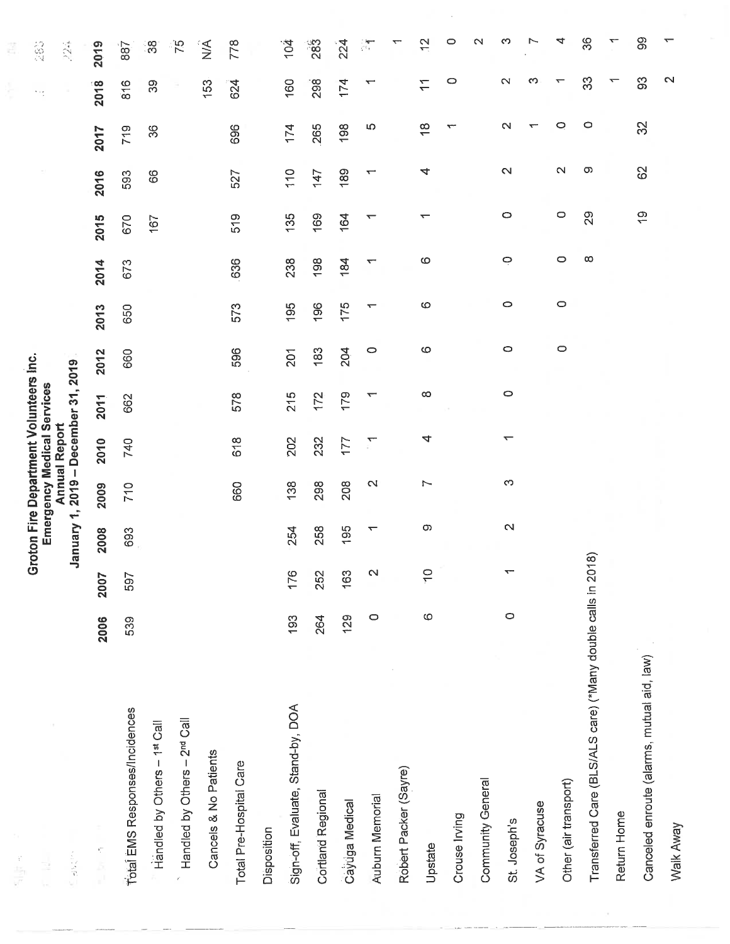| r<br>Filip                                                 |         |                          |                          |                 | Groton Fire Department Volunteers Inc.             |                          |         |         |          |               |        |                         | n eg                     | 100<br>Pol      |
|------------------------------------------------------------|---------|--------------------------|--------------------------|-----------------|----------------------------------------------------|--------------------------|---------|---------|----------|---------------|--------|-------------------------|--------------------------|-----------------|
| ÷,                                                         |         |                          |                          |                 | Emergency Medical Services<br><b>Annual Report</b> |                          |         |         |          |               |        |                         |                          |                 |
| <b>SE BRUSH</b>                                            |         |                          |                          |                 | January 1, 2019 - December 31, 2019                |                          |         |         |          |               |        |                         |                          | 224             |
| 不正 三                                                       | 2006    | 2007                     | 2008                     | 2009            | 2010                                               | 2011                     | 2012    | 2013    | 2014     | 2015          | 2016   | 2017                    | 2018                     | 2019            |
| Total EMS Responses/Incidences                             | 539     | 597                      | 693                      | 710             | 740                                                | 662                      | 660     | 650     | 673      | 670           | 593    | 719                     | 816                      | 887             |
| Handled by Others - 1st Call                               |         |                          |                          |                 |                                                    |                          |         |         |          | 167           | 89     | 36                      | 39                       | ွတ္လ            |
| Handled by Others - 2 <sup>nd</sup> Call                   |         |                          |                          |                 |                                                    |                          |         |         |          |               |        |                         |                          | $\overline{75}$ |
| Cancels & No Patients                                      |         |                          |                          |                 |                                                    |                          |         |         |          |               |        |                         | 153                      | ÎÁ              |
| Total Pre-Hospital Care                                    |         |                          |                          | 660             | 618                                                | 578                      | 596     | 573     | 636      | 519           | 527    | 696                     | 624                      | 778             |
| Disposition                                                |         |                          |                          |                 |                                                    |                          |         |         |          |               |        |                         |                          |                 |
| Sign-off, Evaluate, Stand-by, DOA                          | 193     | 176                      | 254                      | 138             | 202                                                | 215                      | 201     | 195     | 238      | 135           | 110    | 174                     | 160                      | 104             |
| Cortland Regional                                          | 264     | 252                      | 258                      | 298             | 232                                                | 172                      | 183     | 196     | 198      | 169           | 147    | 265                     | 298 <sup>-</sup>         | 283             |
| Cayuga Medical                                             | 129     | 163                      | 195                      | 208             | 177                                                | 179                      | 204     | 175     | 184      | 164           | 189    | 198                     | 174                      | 224             |
| Auburn Memorial                                            | $\circ$ | $\mathbf{\Omega}$        | $\overline{\phantom{0}}$ | $\mathbf{\sim}$ | $\sum_{i=1}^n$                                     | $\overline{\phantom{0}}$ | $\circ$ | ᠇       | ᠇        | ↽             | ٣      | Ю                       | $\overline{\phantom{0}}$ | ्षा             |
| Robert Packer (Sayre)                                      |         |                          |                          |                 |                                                    |                          |         |         |          |               |        |                         |                          |                 |
| Upstate                                                    | $\circ$ | $\frac{1}{\sqrt{2}}$     | $\infty$                 | Ľ               | 4                                                  | ထ                        | ဖ       | ဖ       | $\circ$  | ᡪ             | 4      | $\frac{\infty}{\infty}$ | $\overline{1}$           | 은               |
| Crouse Irving                                              |         |                          |                          |                 |                                                    |                          |         |         |          |               |        | ᠊                       | 0                        | 0               |
| Community General                                          |         |                          |                          |                 |                                                    |                          |         |         |          |               |        |                         |                          | $\sim$          |
| St. Joseph's                                               | $\circ$ | $\overline{\phantom{0}}$ | $\mathbf{\Omega}$        | S               | ᠇                                                  | $\circ$                  | O       | $\circ$ | $\circ$  | 0             | 2      | Ν                       | $\mathbf{\sim}$          | ∞               |
| VA of Syracuse                                             |         |                          |                          |                 |                                                    |                          |         |         |          |               |        | ᡪ                       | က                        |                 |
| Other (air transport)                                      |         |                          |                          |                 |                                                    |                          | $\circ$ | $\circ$ | $\circ$  | $\circ$       | $\sim$ | 0                       | ᡪ                        | 4               |
| Transferred Care (BLS/ALS care) ("Many double calls in 201 |         |                          | ၜ                        |                 |                                                    |                          |         |         | $\infty$ | 29            | တ      | $\circ$                 | 33                       | 36              |
| Return Home                                                |         |                          |                          |                 |                                                    |                          |         |         |          |               |        |                         |                          |                 |
| Canceled enroute (alarms, mutual aid, law)                 |         |                          |                          |                 |                                                    |                          |         |         |          | $\frac{6}{1}$ | 82     | 32                      | SS                       | တွ              |
| Walk Away                                                  |         |                          |                          |                 |                                                    |                          |         |         |          |               |        |                         | $\mathbf{\Omega}$        | ↽               |

 $\mathcal{A}^{\mathcal{A}}$ 

 $\bar{\mathbf{x}}$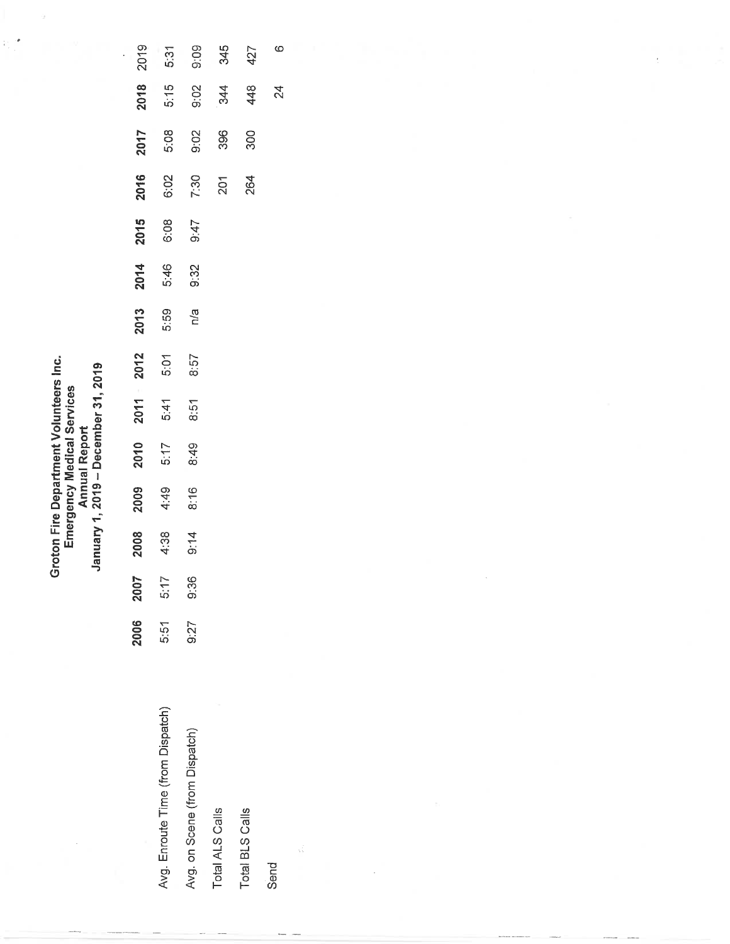|                                                                                                            | 2016        |
|------------------------------------------------------------------------------------------------------------|-------------|
|                                                                                                            | 2015        |
|                                                                                                            | 2014        |
|                                                                                                            | 2013        |
|                                                                                                            | 2011 - 2012 |
|                                                                                                            |             |
| <b>Annual Report</b>                                                                                       | 2010        |
| Groton Fire Department Volunteers Inc.<br>anuary 1, 2019 - December 31, 2019<br>Emergency Medical Services | 2009        |
|                                                                                                            | 2008        |
|                                                                                                            | 2007        |
|                                                                                                            | 2006        |
|                                                                                                            |             |

÷, ÷,

|                                   | <b>2006</b> | <b>2007</b> |              |                             |                      |                        |                      |              |                             |                      |                      |                                        | 2018             |              |
|-----------------------------------|-------------|-------------|--------------|-----------------------------|----------------------|------------------------|----------------------|--------------|-----------------------------|----------------------|----------------------|----------------------------------------|------------------|--------------|
| Avg. Enroute Time (from Dispatch) |             | 5:51 5:17   | 2008<br>4∶38 | <b>9009</b><br>4:49<br>8:16 | 8:49<br>5:17<br>8:49 | $2011$<br>5:47<br>8:57 | 2012<br>5:07<br>8:57 | 2013<br>5:59 | <b>2014</b><br>5:46<br>9:32 | 3015<br>6:08<br>9:47 | 2016<br>6:02<br>7:30 | $2017$<br>5.08<br>5.02<br>9.96<br>3.00 | $-5:15$          | 2019<br>5:31 |
| Avg. on Scene (from Dispatch)     | 9:27        | 9:36        | 9:14         |                             |                      |                        |                      | n/a          |                             |                      |                      |                                        | $0.02$<br>344    | ි.<br>0:09   |
| Total ALS Calls                   |             |             |              |                             |                      |                        |                      |              |                             |                      | 201                  |                                        |                  | 345          |
| Total BLS Calls                   |             |             |              |                             |                      |                        |                      |              |                             |                      |                      |                                        | $\overline{A}AB$ | 427          |

427

448

300

264

 $\circ$ 

24

Send

V